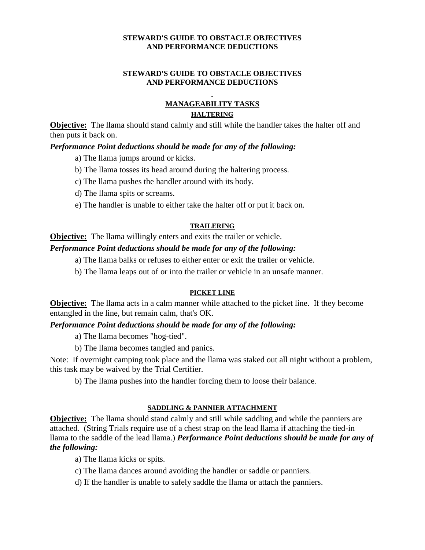#### **STEWARD'S GUIDE TO OBSTACLE OBJECTIVES AND PERFORMANCE DEDUCTIONS**

#### **STEWARD'S GUIDE TO OBSTACLE OBJECTIVES AND PERFORMANCE DEDUCTIONS**

# **MANAGEABILITY TASKS HALTERING**

**Objective:** The llama should stand calmly and still while the handler takes the halter off and then puts it back on.

# *Performance Point deductions should be made for any of the following:*

a) The llama jumps around or kicks.

- b) The llama tosses its head around during the haltering process.
- c) The llama pushes the handler around with its body.
- d) The llama spits or screams.
- e) The handler is unable to either take the halter off or put it back on.

#### **TRAILERING**

# **Objective:** The llama willingly enters and exits the trailer or vehicle.

# *Performance Point deductions should be made for any of the following:*

- a) The llama balks or refuses to either enter or exit the trailer or vehicle.
- b) The llama leaps out of or into the trailer or vehicle in an unsafe manner.

### **PICKET LINE**

**Objective:** The llama acts in a calm manner while attached to the picket line. If they become entangled in the line, but remain calm, that's OK.

### *Performance Point deductions should be made for any of the following:*

a) The llama becomes "hog-tied".

b) The llama becomes tangled and panics.

Note: If overnight camping took place and the llama was staked out all night without a problem, this task may be waived by the Trial Certifier.

b) The llama pushes into the handler forcing them to loose their balance.

### **SADDLING & PANNIER ATTACHMENT**

**Objective:** The llama should stand calmly and still while saddling and while the panniers are attached. (String Trials require use of a chest strap on the lead llama if attaching the tied-in llama to the saddle of the lead llama.) *Performance Point deductions should be made for any of the following:*

a) The llama kicks or spits.

- c) The llama dances around avoiding the handler or saddle or panniers.
- d) If the handler is unable to safely saddle the llama or attach the panniers.